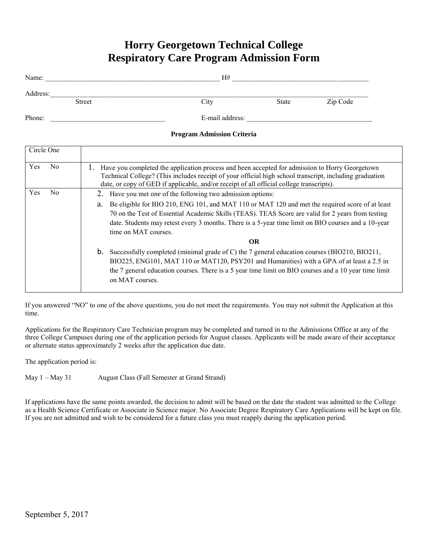# **Horry Georgetown Technical College Respiratory Care Program Admission Form**

| Name:                     | H#              |       |          |
|---------------------------|-----------------|-------|----------|
| Address:<br><b>Street</b> | City            | State | Zip Code |
| Phone:                    | E-mail address: |       |          |

### **Program Admission Criteria**

| Circle One |                |                                                                                                                                                                                                                                                                                                                                           |  |  |  |  |  |
|------------|----------------|-------------------------------------------------------------------------------------------------------------------------------------------------------------------------------------------------------------------------------------------------------------------------------------------------------------------------------------------|--|--|--|--|--|
| Yes        | No.            | Have you completed the application process and been accepted for admission to Horry Georgetown<br>1.<br>Technical College? (This includes receipt of your official high school transcript, including graduation<br>date, or copy of GED if applicable, and/or receipt of all official college transcripts).                               |  |  |  |  |  |
| Yes        | N <sub>0</sub> | Have you met <i>one</i> of the following two admission options:                                                                                                                                                                                                                                                                           |  |  |  |  |  |
|            |                | Be eligible for BIO 210, ENG 101, and MAT 110 or MAT 120 and met the required score of at least<br>a.<br>70 on the Test of Essential Academic Skills (TEAS). TEAS Score are valid for 2 years from testing<br>date. Students may retest every 3 months. There is a 5-year time limit on BIO courses and a 10-year<br>time on MAT courses. |  |  |  |  |  |
|            |                | OR.                                                                                                                                                                                                                                                                                                                                       |  |  |  |  |  |
|            |                | Successfully completed (minimal grade of C) the 7 general education courses (BIO210, BIO211,<br>b.<br>BIO225, ENG101, MAT 110 or MAT120, PSY201 and Humanities) with a GPA of at least a 2.5 in<br>the 7 general education courses. There is a 5 year time limit on BIO courses and a 10 year time limit<br>on MAT courses.               |  |  |  |  |  |

If you answered "NO" to one of the above questions, you do not meet the requirements. You may not submit the Application at this time.

Applications for the Respiratory Care Technician program may be completed and turned in to the Admissions Office at any of the three College Campuses during one of the application periods for August classes. Applicants will be made aware of their acceptance or alternate status approximately 2 weeks after the application due date.

The application period is:

May 1 – May 31 August Class (Fall Semester at Grand Strand)

If applications have the same points awarded, the decision to admit will be based on the date the student was admitted to the College as a Health Science Certificate or Associate in Science major. No Associate Degree Respiratory Care Applications will be kept on file. If you are not admitted and wish to be considered for a future class you must reapply during the application period.